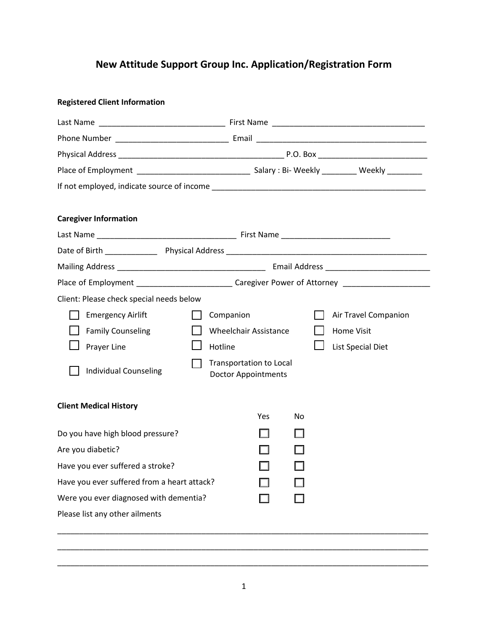## **New Attitude Support Group Inc. Application/Registration Form**

| <b>Registered Client Information</b>        |  |                                                              |     |    |  |                          |
|---------------------------------------------|--|--------------------------------------------------------------|-----|----|--|--------------------------|
|                                             |  |                                                              |     |    |  |                          |
|                                             |  |                                                              |     |    |  |                          |
|                                             |  |                                                              |     |    |  |                          |
|                                             |  |                                                              |     |    |  |                          |
|                                             |  |                                                              |     |    |  |                          |
|                                             |  |                                                              |     |    |  |                          |
| <b>Caregiver Information</b>                |  |                                                              |     |    |  |                          |
|                                             |  |                                                              |     |    |  |                          |
|                                             |  |                                                              |     |    |  |                          |
|                                             |  |                                                              |     |    |  |                          |
|                                             |  |                                                              |     |    |  |                          |
| Client: Please check special needs below    |  |                                                              |     |    |  |                          |
| <b>Emergency Airlift</b>                    |  | Companion                                                    |     |    |  | Air Travel Companion     |
| <b>Family Counseling</b>                    |  | <b>Wheelchair Assistance</b>                                 |     |    |  | Home Visit               |
| Prayer Line                                 |  | Hotline                                                      |     |    |  | <b>List Special Diet</b> |
| <b>Individual Counseling</b>                |  | <b>Transportation to Local</b><br><b>Doctor Appointments</b> |     |    |  |                          |
| <b>Client Medical History</b>               |  |                                                              | Yes | No |  |                          |
| Do you have high blood pressure?            |  |                                                              |     |    |  |                          |
| Are you diabetic?                           |  |                                                              |     |    |  |                          |
| Have you ever suffered a stroke?            |  |                                                              |     |    |  |                          |
| Have you ever suffered from a heart attack? |  |                                                              |     |    |  |                          |
| Were you ever diagnosed with dementia?      |  |                                                              |     |    |  |                          |
| Please list any other ailments              |  |                                                              |     |    |  |                          |
|                                             |  |                                                              |     |    |  |                          |
|                                             |  |                                                              |     |    |  |                          |

\_\_\_\_\_\_\_\_\_\_\_\_\_\_\_\_\_\_\_\_\_\_\_\_\_\_\_\_\_\_\_\_\_\_\_\_\_\_\_\_\_\_\_\_\_\_\_\_\_\_\_\_\_\_\_\_\_\_\_\_\_\_\_\_\_\_\_\_\_\_\_\_\_\_\_\_\_\_\_\_\_\_\_\_\_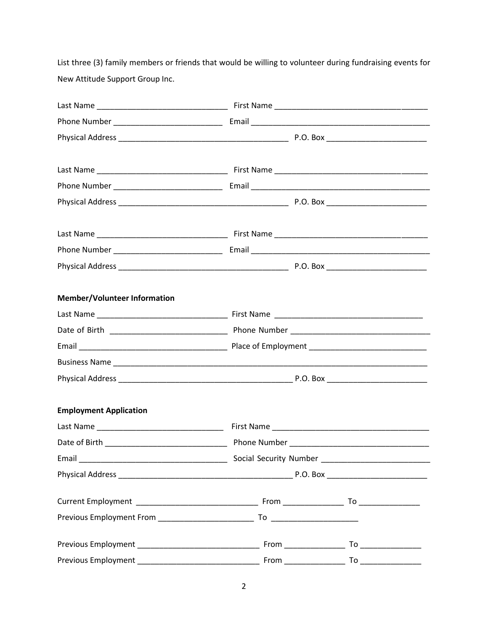List three (3) family members or friends that would be willing to volunteer during fundraising events for New Attitude Support Group Inc.

| <b>Member/Volunteer Information</b> |  |  |  |  |
|-------------------------------------|--|--|--|--|
|                                     |  |  |  |  |
|                                     |  |  |  |  |
|                                     |  |  |  |  |
|                                     |  |  |  |  |
|                                     |  |  |  |  |
| <b>Employment Application</b>       |  |  |  |  |
|                                     |  |  |  |  |
|                                     |  |  |  |  |
|                                     |  |  |  |  |
|                                     |  |  |  |  |
|                                     |  |  |  |  |
|                                     |  |  |  |  |
|                                     |  |  |  |  |
|                                     |  |  |  |  |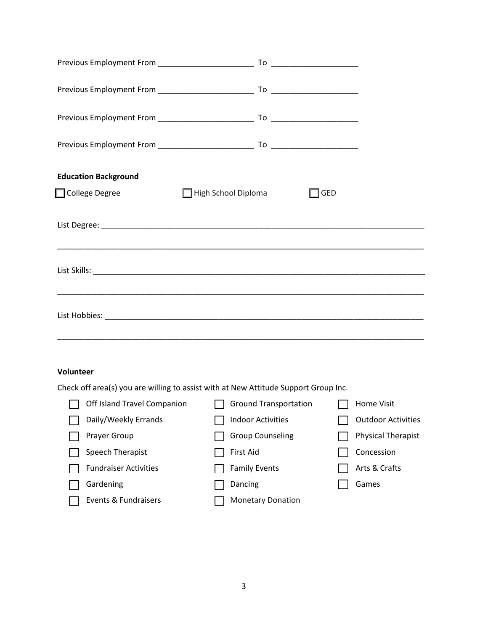| <b>Education Background</b>  |                                                                                     |                            |  |  |  |  |
|------------------------------|-------------------------------------------------------------------------------------|----------------------------|--|--|--|--|
| □ College Degree             | $\Box$ High School Diploma                                                          | $\sqsupset$ GED            |  |  |  |  |
|                              |                                                                                     |                            |  |  |  |  |
|                              |                                                                                     |                            |  |  |  |  |
|                              |                                                                                     |                            |  |  |  |  |
|                              |                                                                                     |                            |  |  |  |  |
|                              |                                                                                     |                            |  |  |  |  |
|                              |                                                                                     |                            |  |  |  |  |
|                              |                                                                                     |                            |  |  |  |  |
| Volunteer                    |                                                                                     |                            |  |  |  |  |
|                              | Check off area(s) you are willing to assist with at New Attitude Support Group Inc. |                            |  |  |  |  |
|                              | Off Island Travel Companion <b>IV</b> Ground Transportation                         | Home Visit<br>$\mathbf{I}$ |  |  |  |  |
| Daily/Weekly Errands         | <b>Indoor Activities</b>                                                            | <b>Outdoor Activities</b>  |  |  |  |  |
| Prayer Group                 | <b>Group Counseling</b>                                                             | <b>Physical Therapist</b>  |  |  |  |  |
| Speech Therapist             | First Aid                                                                           | Concession                 |  |  |  |  |
| <b>Fundraiser Activities</b> | <b>Family Events</b>                                                                | Arts & Crafts              |  |  |  |  |
| Gardening                    | Dancing                                                                             | Games                      |  |  |  |  |
| Events & Fundraisers         | <b>Monetary Donation</b>                                                            |                            |  |  |  |  |